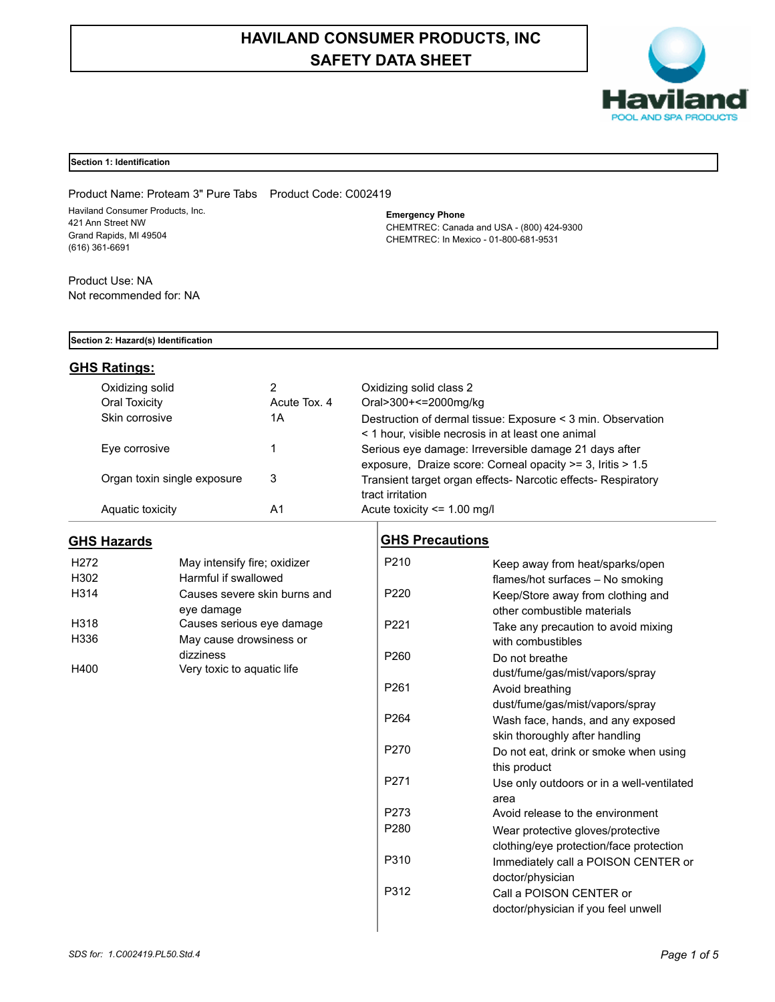# **HAVILAND CONSUMER PRODUCTS, INC SAFETY DATA SHEET**



## **Section 1: Identification**

Product Name: Proteam 3" Pure Tabs Product Code: C002419 Haviland Consumer Products, Inc. 421 Ann Street NW Grand Rapids, MI 49504 (616) 361-6691

**Emergency Phone**

CHEMTREC: Canada and USA - (800) 424-9300 CHEMTREC: In Mexico - 01-800-681-9531

Product Use: NA Not recommended for: NA

## **Section 2: Hazard(s) Identification**

## **GHS Ratings:**

| Oxidizing solid             |              | Oxidizing solid class 2                                                                                             |
|-----------------------------|--------------|---------------------------------------------------------------------------------------------------------------------|
| Oral Toxicity               | Acute Tox, 4 | Oral>300+<=2000mg/kg                                                                                                |
| Skin corrosive              | 1Α           | Destruction of dermal tissue: Exposure < 3 min. Observation<br>< 1 hour, visible necrosis in at least one animal    |
| Eye corrosive               |              | Serious eye damage: Irreversible damage 21 days after<br>exposure, Draize score: Corneal opacity >= 3, Iritis > 1.5 |
| Organ toxin single exposure | 3            | Transient target organ effects- Narcotic effects- Respiratory<br>tract irritation                                   |
| Aquatic toxicity            | A1           | Acute toxicity $\leq$ 1.00 mg/l                                                                                     |

## **GHS Hazards**

| H <sub>272</sub> | May intensify fire; oxidizer |
|------------------|------------------------------|
| H <sub>302</sub> | Harmful if swallowed         |
| H314             | Causes severe skin burns and |
|                  | eve damage                   |
| H318             | Causes serious eye damage    |
| H336             | May cause drowsiness or      |
|                  | dizziness                    |
| H400             | Very toxic to aquatic life   |

## **GHS Precautions**

| P <sub>210</sub> | Keep away from heat/sparks/open                                       |
|------------------|-----------------------------------------------------------------------|
| P <sub>220</sub> | flames/hot surfaces - No smoking<br>Keep/Store away from clothing and |
|                  | other combustible materials                                           |
| P <sub>221</sub> | Take any precaution to avoid mixing                                   |
|                  | with combustibles                                                     |
| P260             | Do not breathe                                                        |
|                  | dust/fume/gas/mist/vapors/spray                                       |
| P <sub>261</sub> | Avoid breathing                                                       |
|                  | dust/fume/gas/mist/vapors/spray                                       |
| P264             | Wash face, hands, and any exposed                                     |
|                  | skin thoroughly after handling                                        |
| P270             | Do not eat, drink or smoke when using                                 |
|                  | this product                                                          |
| P271             | Use only outdoors or in a well-ventilated                             |
|                  | area                                                                  |
| P273             | Avoid release to the environment                                      |
| P280             | Wear protective gloves/protective                                     |
|                  | clothing/eye protection/face protection                               |
| P310             | Immediately call a POISON CENTER or                                   |
|                  | doctor/physician                                                      |
| P312             | Call a POISON CENTER or                                               |
|                  | doctor/physician if you feel unwell                                   |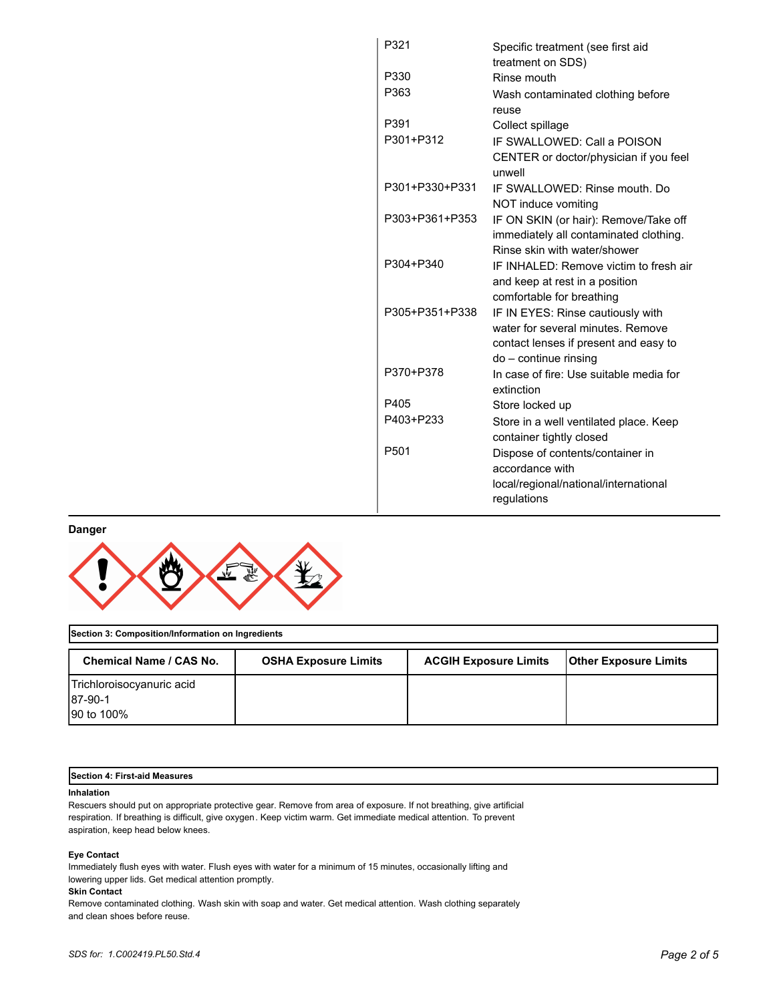| P321             | Specific treatment (see first aid                |
|------------------|--------------------------------------------------|
|                  | treatment on SDS)                                |
| P330             | Rinse mouth                                      |
| P363             | Wash contaminated clothing before                |
|                  | reuse                                            |
| P391             | Collect spillage                                 |
| P301+P312        | IF SWALLOWED: Call a POISON                      |
|                  | CENTER or doctor/physician if you feel<br>unwell |
| P301+P330+P331   | IF SWALLOWED: Rinse mouth, Do                    |
|                  | NOT induce vomiting                              |
| P303+P361+P353   | IF ON SKIN (or hair): Remove/Take off            |
|                  | immediately all contaminated clothing.           |
|                  | Rinse skin with water/shower                     |
| P304+P340        | IF INHALED: Remove victim to fresh air           |
|                  | and keep at rest in a position                   |
|                  | comfortable for breathing                        |
| P305+P351+P338   | IF IN EYES: Rinse cautiously with                |
|                  | water for several minutes. Remove                |
|                  | contact lenses if present and easy to            |
|                  | do - continue rinsing                            |
| P370+P378        | In case of fire: Use suitable media for          |
|                  | extinction                                       |
| P405             | Store locked up                                  |
| P403+P233        | Store in a well ventilated place. Keep           |
|                  | container tightly closed                         |
| P <sub>501</sub> | Dispose of contents/container in                 |
|                  | accordance with                                  |
|                  | local/regional/national/international            |
|                  | regulations                                      |
|                  |                                                  |

## **Danger**



| Section 3: Composition/Information on Ingredients |                             |                              |                              |
|---------------------------------------------------|-----------------------------|------------------------------|------------------------------|
| Chemical Name / CAS No.                           | <b>OSHA Exposure Limits</b> | <b>ACGIH Exposure Limits</b> | <b>Other Exposure Limits</b> |
| Trichloroisocyanuric acid                         |                             |                              |                              |
| 187-90-1                                          |                             |                              |                              |
| 190 to 100%                                       |                             |                              |                              |

## **Section 4: First-aid Measures**

## **Inhalation**

Rescuers should put on appropriate protective gear. Remove from area of exposure. If not breathing, give artificial respiration. If breathing is difficult, give oxygen. Keep victim warm. Get immediate medical attention. To prevent aspiration, keep head below knees.

## **Eye Contact**

Immediately flush eyes with water. Flush eyes with water for a minimum of 15 minutes, occasionally lifting and lowering upper lids. Get medical attention promptly.

## **Skin Contact**

Remove contaminated clothing. Wash skin with soap and water. Get medical attention. Wash clothing separately and clean shoes before reuse.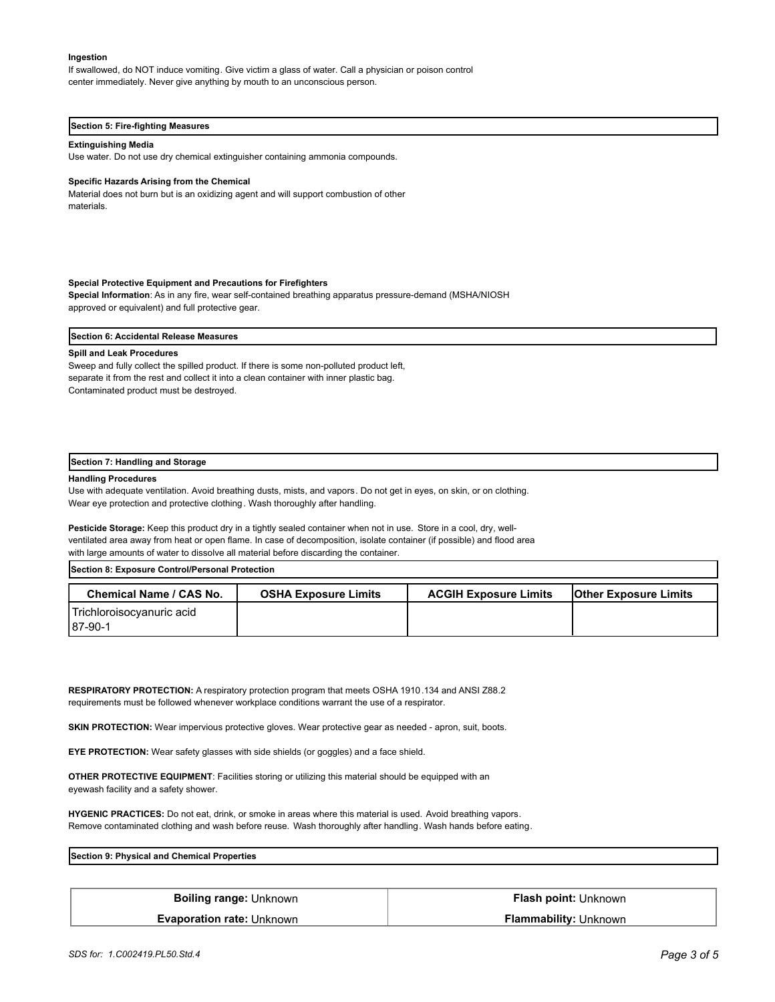#### **Ingestion**

If swallowed, do NOT induce vomiting. Give victim a glass of water. Call a physician or poison control center immediately. Never give anything by mouth to an unconscious person.

#### **Section 5: Fire-fighting Measures**

#### **Extinguishing Media**

Use water. Do not use dry chemical extinguisher containing ammonia compounds.

#### **Specific Hazards Arising from the Chemical**

Material does not burn but is an oxidizing agent and will support combustion of other materials.

#### **Special Protective Equipment and Precautions for Firefighters**

**Special Information**: As in any fire, wear self-contained breathing apparatus pressure-demand (MSHA/NIOSH approved or equivalent) and full protective gear.

**Section 6: Accidental Release Measures**

#### **Spill and Leak Procedures**

Sweep and fully collect the spilled product. If there is some non-polluted product left, separate it from the rest and collect it into a clean container with inner plastic bag. Contaminated product must be destroyed.

#### **Section 7: Handling and Storage**

#### **Handling Procedures**

Use with adequate ventilation. Avoid breathing dusts, mists, and vapors. Do not get in eyes, on skin, or on clothing. Wear eye protection and protective clothing. Wash thoroughly after handling.

**Pesticide Storage:** Keep this product dry in a tightly sealed container when not in use. Store in a cool, dry, wellventilated area away from heat or open flame. In case of decomposition, isolate container (if possible) and flood area with large amounts of water to dissolve all material before discarding the container.

**Section 8: Exposure Control/Personal Protection** 

| <b>Chemical Name / CAS No.</b>       | <b>OSHA Exposure Limits</b> | <b>ACGIH Exposure Limits</b> | <b>Other Exposure Limits</b> |
|--------------------------------------|-----------------------------|------------------------------|------------------------------|
| Trichloroisocyanuric acid<br>87-90-1 |                             |                              |                              |

**RESPIRATORY PROTECTION:** A respiratory protection program that meets OSHA 1910.134 and ANSI Z88.2 requirements must be followed whenever workplace conditions warrant the use of a respirator.

**SKIN PROTECTION:** Wear impervious protective gloves. Wear protective gear as needed - apron, suit, boots.

**EYE PROTECTION:** Wear safety glasses with side shields (or goggles) and a face shield.

**OTHER PROTECTIVE EQUIPMENT**: Facilities storing or utilizing this material should be equipped with an eyewash facility and a safety shower.

**HYGENIC PRACTICES:** Do not eat, drink, or smoke in areas where this material is used. Avoid breathing vapors. Remove contaminated clothing and wash before reuse. Wash thoroughly after handling. Wash hands before eating.

| Section 9:<br>э: Phvsical and Chemical Properties |  |
|---------------------------------------------------|--|
|                                                   |  |

| <b>Boiling range: Unknown</b>    | Flash point: Unknown         |
|----------------------------------|------------------------------|
| <b>Evaporation rate: Unknown</b> | <b>Flammability: Unknown</b> |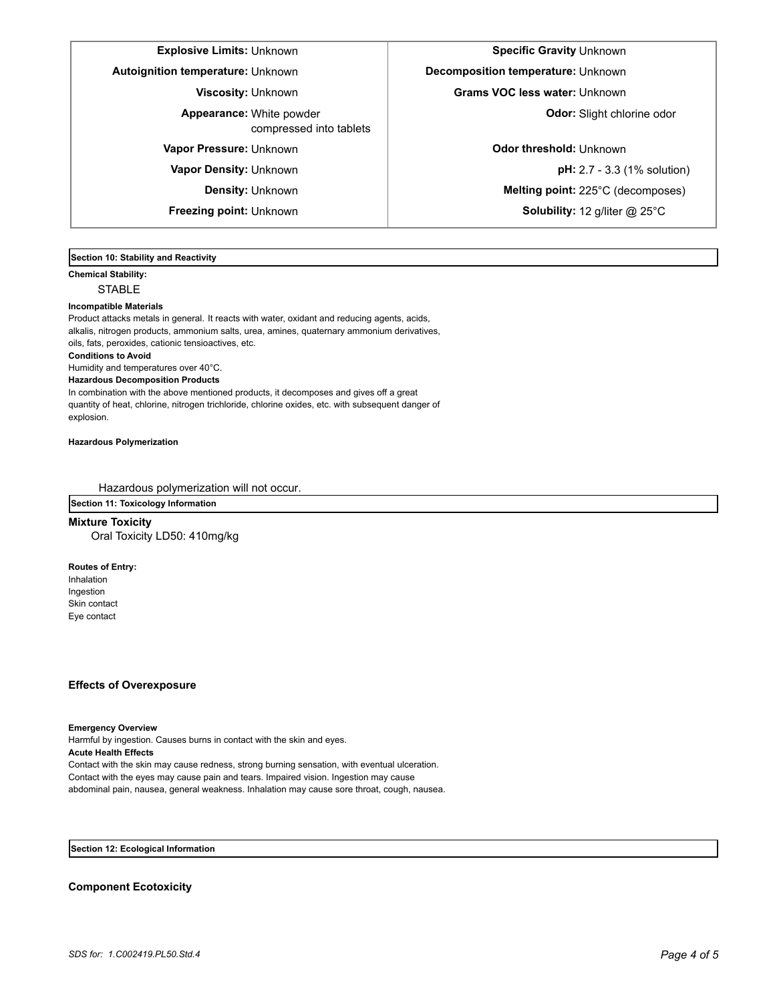## **Explosive Limits:** Unknown **Specific Gravity** Unknown **Specific Gravity** Unknown

**Autoignition temperature:** Unknown **Decomposition temperature:** Unknown

White powder **Appearance: Odor:** Slight chlorine odor

compressed into tablets

**Viscosity:** Unknown **Grams VOC less water:** Unknown

**Vapor Pressure:** Unknown **Odor threshold:** Unknown

**Vapor Density:** Unknown **pH:** 2.7 - 3.3 (1% solution) **Density:** Unknown **Melting point:** 225°C (decomposes) **Freezing point:** Unknown **Solubility:** 12 g/liter @ 25°C

**Section 10: Stability and Reactivity** 

**Chemical Stability: STABLE** 

#### **Incompatible Materials**

Product attacks metals in general. It reacts with water, oxidant and reducing agents, acids, alkalis, nitrogen products, ammonium salts, urea, amines, quaternary ammonium derivatives, oils, fats, peroxides, cationic tensioactives, etc. **Conditions to Avoid** Humidity and temperatures over 40°C. **Hazardous Decomposition Products** In combination with the above mentioned products, it decomposes and gives off a great

quantity of heat, chlorine, nitrogen trichloride, chlorine oxides, etc. with subsequent danger of explosion.

**Hazardous Polymerization**

Hazardous polymerization will not occur.

**Section 11: Toxicology Information**

**Mixture Toxicity** Oral Toxicity LD50: 410mg/kg

**Routes of Entry:**

Inhalation Ingestion Skin contact Eye contact

## **Effects of Overexposure**

**Emergency Overview**

Harmful by ingestion. Causes burns in contact with the skin and eyes. **Acute Health Effects**

Contact with the skin may cause redness, strong burning sensation, with eventual ulceration. Contact with the eyes may cause pain and tears. Impaired vision. Ingestion may cause abdominal pain, nausea, general weakness. Inhalation may cause sore throat, cough, nausea.

**Section 12: Ecological Information**

**Component Ecotoxicity**